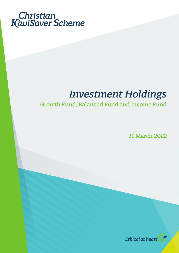

# *Investment Holdings*

## Growth Fund, Balanced Fund and Income Fund

31 March 2022

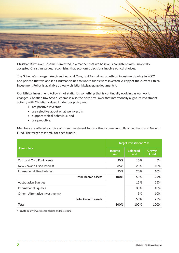

Christian KiwiSaver Scheme is invested in a manner that we believe is consistent with universally accepted Christian values, recognising that economic decisions involve ethical choices.

The Scheme's manager, Anglican Financial Care, first formalised an ethical investment policy in 2002 and prior to that we applied Christian values to where funds were invested. A copy of the current Ethical Investment Policy is available at www.christiankiwisaver.nz/documents/.

Our Ethical Investment Policy is not static, it's something that is continually evolving as our world changes. Christian KiwiSaver Scheme is also the only KiwiSaver that intentionally aligns its investment activity with Christian values. Under our policy we:

- are positive investors
- are selective about what we invest in
- support ethical behaviour, and
- are proactive.

Members are offered a choice of three investment funds – the Income Fund, Balanced Fund and Growth Fund. The target asset mix for each fund is:

|                                              | <b>Target Investment Mix</b> |                                |                              |
|----------------------------------------------|------------------------------|--------------------------------|------------------------------|
| <b>Asset class</b>                           | <b>Income</b><br><b>Fund</b> | <b>Balanced</b><br><b>Fund</b> | <b>Growth</b><br><b>Fund</b> |
| Cash and Cash Equivalents                    | 30%                          | 10%                            | 5%                           |
| New Zealand Fixed Interest                   | 35%                          | 20%                            | 10%                          |
| International Fixed Interest                 | 35%                          | 20%                            | 10%                          |
| <b>Total Income assets</b>                   | 100%                         | 50%                            | 25%                          |
| <b>Australasian Equities</b>                 |                              | 15%                            | 25%                          |
| <b>International Equities</b>                |                              | 30%                            | 40%                          |
| Other - Alternative Investments <sup>1</sup> |                              | 5%                             | 10%                          |
| <b>Total Growth assets</b>                   |                              | 50%                            | 75%                          |
| <b>Total</b>                                 | 100%                         | 100%                           | 100%                         |

<sup>1</sup> Private equity investments, forests and forest land.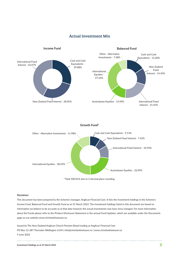

#### Actual Investment Mix

#### **Growth Fund2**



<sup>2</sup> Total 100.01% due to 2 decimal place rounding.

#### **Disclaimer:**

This document has been prepared by the Scheme's manager, Anglican Financial Care. It lists the investment holdings in the Scheme's Income Fund, Balanced Fund and Growth Fund as at 31 March 2022. The investment holdings listed in this document are based on information we believe to be accurate as at that date however the actual investments may have since changed. For more information about the Funds please refer to the Product Disclosure Statement or the annual Fund Updates, which are available under the Documents page on our website www.christiankiwisaver.nz.

Issued by The New Zealand Anglican Church Pension Board trading as Anglican Financial Care PO Box 12-287 Thorndon Wellington 6144 | info@christiankiwisaver.nz | www.christiankiwisaver.nz 9 June 2022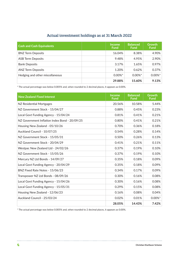### Actual investment holdings as at 31 March 2022

| <b>Cash and Cash Equivalents</b> | 'Income'<br><b>Fund</b> | <b>Balanced</b><br><b>Fund</b> | <b>Growth</b><br><b>Fund</b> |
|----------------------------------|-------------------------|--------------------------------|------------------------------|
| <b>BNZ Term Deposits</b>         | 16.04%                  | 8.38%                          | 4.90%                        |
| <b>ASB Term Deposits</b>         | 9.48%                   | 4.95%                          | 2.90%                        |
| <b>Bank Deposits</b>             | 3.17%                   | 1.65%                          | 0.97%                        |
| <b>ANZ Term Deposits</b>         | 1.20%                   | 0.62%                          | 0.37%                        |
| Hedging and other miscellaneous  | $0.00\%$ *              | $0.00\%$ <sup>*</sup>          | $0.00\%$ *                   |
|                                  | 29.88%                  | 15.60%                         | 9.13%                        |

\* The actual percentage was below 0.005% and, when rounded to 2 decimal places, it appears as 0.00%.

| <b>New Zealand Fixed Interest</b>             | <b>Income</b><br><b>Fund</b> | <b>Balanced</b><br><b>Fund</b> | <b>Growth</b><br><b>Fund</b> |
|-----------------------------------------------|------------------------------|--------------------------------|------------------------------|
| NZ Residential Mortgages                      | 20.56%                       | 10.58%                         | 5.44%                        |
| NZ Government Stock - 15/04/27                | 0.88%                        | 0.45%                          | 0.23%                        |
| Local Govt Funding Agency - 15/04/24          | 0.81%                        | 0.41%                          | 0.21%                        |
| NZ Government Inflation Index Bond - 20/09/25 | 0.80%                        | 0.41%                          | 0.21%                        |
| Housing New Zealand - 05/10/26                | 0.70%                        | 0.36%                          | 0.18%                        |
| Auckland Council - 10/07/25                   | 0.54%                        | 0.28%                          | 0.14%                        |
| NZ Government Stock - 15/05/31                | 0.50%                        | 0.26%                          | 0.13%                        |
| NZ Government Stock - 20/04/29                | 0.41%                        | 0.21%                          | 0.11%                        |
| Westpac New Zealand Ltd - 24/02/26            | 0.37%                        | 0.19%                          | 0.10%                        |
| NZ Government Stock - 15/05/26                | 0.37%                        | 0.19%                          | 0.10%                        |
| Mercury NZ Ltd Bonds - 14/09/27               | 0.35%                        | 0.18%                          | 0.09%                        |
| Local Govt Funding Agency - 20/04/29          | 0.35%                        | 0.18%                          | 0.09%                        |
| BNZ Fixed Rate Notes - 15/06/23               | 0.34%                        | 0.17%                          | 0.09%                        |
| Transpower NZ Ltd Bonds - 08/09/26            | 0.30%                        | 0.16%                          | 0.08%                        |
| Local Govt Funding Agency - 15/04/26          | 0.30%                        | 0.16%                          | 0.08%                        |
| Local Govt Funding Agency - 15/05/31          | 0.29%                        | 0.15%                          | 0.08%                        |
| Housing New Zealand - 12/06/23                | 0.16%                        | 0.08%                          | 0.04%                        |
| Auckland Council - 25/03/24                   | 0.02%                        | 0.01%                          | $0.00\%$ *                   |
|                                               | 28.05%                       | 14.43%                         | 7.42%                        |

\* The actual percentage was below 0.005% and, when rounded to 2 decimal places, it appears as 0.00%.

. . . . . . . . . . . . . . . . . . .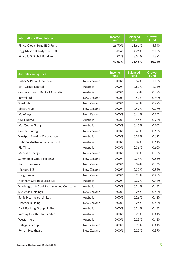| International Fixed Interest | <b>Income</b><br><b>Fund</b> | <b>Balanced</b><br><b>Fund</b> | <b>Growth</b><br><b>Fund</b> |
|------------------------------|------------------------------|--------------------------------|------------------------------|
| Pimco Global Bond ESG Fund   | 26.70%                       | 13.61%                         | 6.94%                        |
| Legg Mason Brandywine GOFI   | 8.36%                        | 4.26%                          | 2.17%                        |
| Pimco GIS Global Bond Fund   | 7.01%                        | 3.57%                          | 1.82%                        |
|                              | 42.07%                       | 21.45%                         | 10.94%                       |

| <b>Australasian Equities</b>            |             | <b>Income</b><br><b>Fund</b> | <b>Balanced</b><br><b>Fund</b> | <b>Growth</b><br><b>Fund</b> |
|-----------------------------------------|-------------|------------------------------|--------------------------------|------------------------------|
| Fisher & Paykel Healthcare              | New Zealand | 0.00%                        | 0.67%                          | 1.10%                        |
| <b>BHP Group Limited</b>                | Australia   | 0.00%                        | 0.63%                          | 1.03%                        |
| Commonwealth Bank of Australia          | Australia   | 0.00%                        | 0.60%                          | 0.97%                        |
| Infratil Ltd                            | New Zealand | 0.00%                        | 0.49%                          | 0.80%                        |
| Spark NZ                                | New Zealand | 0.00%                        | 0.48%                          | 0.79%                        |
| <b>Ebos Group</b>                       | New Zealand | 0.00%                        | 0.47%                          | 0.77%                        |
| Mainfreight                             | New Zealand | 0.00%                        | 0.46%                          | 0.75%                        |
| <b>CSL Limited</b>                      | Australia   | 0.00%                        | 0.46%                          | 0.75%                        |
| MacQuarie Group                         | Australia   | 0.00%                        | 0.43%                          | 0.70%                        |
| <b>Contact Energy</b>                   | New Zealand | 0.00%                        | 0.40%                          | 0.66%                        |
| <b>Westpac Banking Corporation</b>      | Australia   | 0.00%                        | 0.38%                          | 0.62%                        |
| National Australia Bank Limited         | Australia   | 0.00%                        | 0.37%                          | 0.61%                        |
| <b>Rio Tinto</b>                        | Australia   | 0.00%                        | 0.36%                          | 0.60%                        |
| Meridian Energy                         | New Zealand | 0.00%                        | 0.35%                          | 0.57%                        |
| <b>Summerset Group Holdings</b>         | New Zealand | 0.00%                        | 0.34%                          | 0.56%                        |
| Port of Tauranga                        | New Zealand | 0.00%                        | 0.34%                          | 0.56%                        |
| Mercury NZ                              | New Zealand | 0.00%                        | 0.32%                          | 0.53%                        |
| Freightways                             | New Zealand | 0.00%                        | 0.28%                          | 0.45%                        |
| Northern Star Resources Ltd             | Australia   | 0.00%                        | 0.27%                          | 0.44%                        |
| Washington H Soul Pattinson and Company | Australia   | 0.00%                        | 0.26%                          | 0.43%                        |
| <b>Skellerup Holdings</b>               | New Zealand | 0.00%                        | 0.26%                          | 0.43%                        |
| Sonic Healthcare Limited                | Australia   | 0.00%                        | 0.26%                          | 0.43%                        |
| Fletcher Building                       | New Zealand | 0.00%                        | 0.26%                          | 0.43%                        |
| <b>ANZ Banking Group Limited</b>        | Australia   | 0.00%                        | 0.26%                          | 0.43%                        |
| Ramsay Health Care Limited              | Australia   | 0.00%                        | 0.25%                          | 0.41%                        |
| Wesfarmers                              | Australia   | 0.00%                        | 0.25%                          | 0.41%                        |
| Delegats Group                          | New Zealand | 0.00%                        | 0.25%                          | 0.41%                        |
| Ryman Healthcare                        | New Zealand | 0.00%                        | 0.23%                          | 0.37%                        |

-----------------------------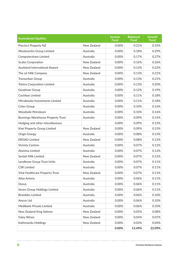| <b>Australasian Equities</b>             |             | <b>Income</b><br>Fund | <b>Balanced</b><br><b>Fund</b> | <b>Growth</b><br><b>Fund</b> |
|------------------------------------------|-------------|-----------------------|--------------------------------|------------------------------|
| Precinct Property NZ                     | New Zealand | 0.00%                 | 0.21%                          | 0.35%                        |
| <b>Woolworths Group Limited</b>          | Australia   | 0.00%                 | 0.18%                          | 0.29%                        |
| Computershare Limited                    | Australia   | 0.00%                 | 0.17%                          | 0.27%                        |
| <b>Scales Corporation</b>                | New Zealand | 0.00%                 | 0.16%                          | 0.26%                        |
| <b>Auckland International Airport</b>    | New Zealand | 0.00%                 | 0.13%                          | 0.22%                        |
| The a2 Milk Company                      | New Zealand | 0.00%                 | 0.13%                          | 0.21%                        |
| Transurban Group                         | Australia   | 0.00%                 | 0.13%                          | 0.21%                        |
| <b>Telstra Corporation Limited</b>       | Australia   | 0.00%                 | 0.13%                          | 0.20%                        |
| Goodman Group                            | Australia   | 0.00%                 | 0.12%                          | 0.19%                        |
| <b>Cochlear Limited</b>                  | Australia   | 0.00%                 | 0.11%                          | 0.18%                        |
| Mirrabooka Investments Limited           | Australia   | 0.00%                 | 0.11%                          | 0.18%                        |
| <b>Coles Group</b>                       | Australia   | 0.00%                 | 0.10%                          | 0.16%                        |
| <b>Woodside Petroleum</b>                | Australia   | 0.00%                 | 0.10%                          | 0.16%                        |
| <b>Bunnings Warehouse Property Trust</b> | Australia   | 0.00%                 | 0.09%                          | 0.15%                        |
| Hedging and other miscellaneous          |             | 0.00%                 | 0.09%                          | 0.15%                        |
| Kiwi Property Group Limited              | New Zealand | 0.00%                 | 0.09%                          | 0.15%                        |
| Origin Energy                            | Australia   | 0.00%                 | 0.08%                          | 0.13%                        |
| <b>EROAD Limited</b>                     | New Zealand | 0.00%                 | 0.08%                          | 0.12%                        |
| <b>Vicinity Centres</b>                  | Australia   | 0.00%                 | 0.07%                          | 0.12%                        |
| Alumina Limited                          | Australia   | 0.00%                 | 0.07%                          | 0.12%                        |
| Synlait Milk Limited                     | New Zealand | 0.00%                 | 0.07%                          | 0.12%                        |
| Lendlease Group Trust Units              | Australia   | 0.00%                 | 0.07%                          | 0.11%                        |
| <b>CSR Limited</b>                       | Australia   | 0.00%                 | 0.07%                          | 0.11%                        |
| <b>Vital Healthcare Property Trust</b>   | New Zealand | 0.00%                 | 0.07%                          | 0.11%                        |
| Atlas Arteria                            | Australia   | 0.00%                 | 0.06%                          | 0.11%                        |
| Dexus                                    | Australia   | 0.00%                 | 0.06%                          | 0.11%                        |
| Seven Group Holdings Limited             | Australia   | 0.00%                 | 0.06%                          | 0.11%                        |
| <b>Brambles Limited</b>                  | Australia   | 0.00%                 | 0.06%                          | 0.10%                        |
| Amcor Ltd                                | Australia   | 0.00%                 | 0.06%                          | 0.10%                        |
| Medibank Private Limited                 | Australia   | 0.00%                 | 0.06%                          | 0.10%                        |
| New Zealand King Salmon                  | New Zealand | 0.00%                 | 0.05%                          | 0.08%                        |
| <b>Foley Wines</b>                       | New Zealand | 0.00%                 | 0.04%                          | 0.07%                        |
| Kathmandu Holdings                       | New Zealand | 0.00%                 | 0.03%                          | 0.04%                        |
|                                          |             | 0.00%                 | 13.49%                         | 22.09%                       |

. . . . . . . . . . . . . . . . . . .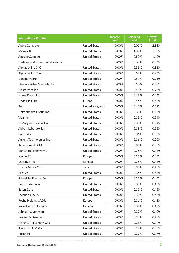| <b>International Equities</b>   |                      | <b>Income</b><br><b>Fund</b> | <b>Balanced</b><br><b>Fund</b> | Growth<br><b>Fund</b> |
|---------------------------------|----------------------|------------------------------|--------------------------------|-----------------------|
| Apple Computer                  | <b>United States</b> | 0.00%                        | 2.03%                          | 2.83%                 |
| Microsoft                       | <b>United States</b> | 0.00%                        | 1.33%                          | 1.85%                 |
| Amazon.Com Inc                  | <b>United States</b> | 0.00%                        | 0.80%                          | 1.12%                 |
| Hedging and other miscellaneous |                      | 0.00%                        | 0.62%                          | 0.86%                 |
| Alphabet Inc CI C               | <b>United States</b> | 0.00%                        | 0.59%                          | 0.81%                 |
| Alphabet Inc CI A               | <b>United States</b> | 0.00%                        | 0.55%                          | 0.76%                 |
| Danaher Corp                    | <b>United States</b> | 0.00%                        | 0.51%                          | 0.71%                 |
| Thermo Fisher Scientific Inc    | <b>United States</b> | 0.00%                        | 0.50%                          | 0.70%                 |
| Mastercard Inc                  | <b>United States</b> | 0.00%                        | 0.50%                          | 0.70%                 |
| Home Depot Inc                  | <b>United States</b> | 0.00%                        | 0.48%                          | 0.66%                 |
| Linde Plc EUR                   | Europe               | 0.00%                        | 0.44%                          | 0.62%                 |
| Relx                            | United Kingdom       | 0.00%                        | 0.41%                          | 0.57%                 |
| Unitedhealth Group Inc          | <b>United States</b> | 0.00%                        | 0.39%                          | 0.55%                 |
| Visa Inc                        | <b>United States</b> | 0.00%                        | 0.39%                          | 0.54%                 |
| JPMorgan Chase & Co             | <b>United States</b> | 0.00%                        | 0.39%                          | 0.54%                 |
| <b>Abbott Laboratories</b>      | <b>United States</b> | 0.00%                        | 0.38%                          | 0.52%                 |
| Caterpillar                     | <b>United States</b> | 0.00%                        | 0.36%                          | 0.50%                 |
| Agilent Technologies Inc        | <b>United States</b> | 0.00%                        | 0.36%                          | 0.50%                 |
| Accenture Plc Cl A              | <b>United States</b> | 0.00%                        | 0.36%                          | 0.50%                 |
| Berkshire Hathaway B            | <b>United States</b> | 0.00%                        | 0.35%                          | 0.48%                 |
| Nestle SA                       | Europe               | 0.00%                        | 0.35%                          | 0.48%                 |
| Enbridge Inc                    | Canada               | 0.00%                        | 0.35%                          | 0.48%                 |
| <b>Toyota Motor Corp</b>        | Japan                | 0.00%                        | 0.35%                          | 0.48%                 |
| Pepsico                         | <b>United States</b> | 0.00%                        | 0.34%                          | 0.47%                 |
| Schneider Electric Se           | Europe               | 0.00%                        | 0.33%                          | 0.46%                 |
| <b>Bank of America</b>          | <b>United States</b> | 0.00%                        | 0.33%                          | 0.45%                 |
| Eaton Corp                      | <b>United States</b> | 0.00%                        | 0.32%                          | 0.45%                 |
| Facebook Inc-A                  | <b>United States</b> | 0.00%                        | 0.31%                          | 0.43%                 |
| Roche Holdings ADR              | Europe               | 0.00%                        | 0.31%                          | 0.43%                 |
| Royal Bank of Canada            | Canada               | 0.00%                        | 0.31%                          | 0.43%                 |
| Johnson & Johnson               | <b>United States</b> | 0.00%                        | 0.29%                          | 0.40%                 |
| Procter & Gamble                | <b>United States</b> | 0.00%                        | 0.29%                          | 0.40%                 |
| Marsh & McLennan Cos            | <b>United States</b> | 0.00%                        | 0.28%                          | 0.39%                 |
| <b>Illinois Tool Works</b>      | <b>United States</b> | 0.00%                        | 0.27%                          | 0.38%                 |
| Pfizer Inc                      | <b>United States</b> | 0.00%                        | 0.27%                          | 0.37%                 |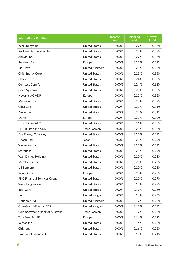| <b>International Equities</b>       |                       | <b>Income</b><br><b>Fund</b> | <b>Balanced</b><br><b>Fund</b> | <b>Growth</b><br><b>Fund</b> |
|-------------------------------------|-----------------------|------------------------------|--------------------------------|------------------------------|
| Xcel Energy Inc                     | <b>United States</b>  | 0.00%                        | 0.27%                          | 0.37%                        |
| Rockwell Automation Inc             | <b>United States</b>  | 0.00%                        | 0.27%                          | 0.37%                        |
| Abbvie Inc                          | <b>United States</b>  | 0.00%                        | 0.27%                          | 0.37%                        |
| Iberdrola Sa                        | Europe                | 0.00%                        | 0.27%                          | 0.37%                        |
| Rio Tinto                           | United Kingdom        | 0.00%                        | 0.25%                          | 0.35%                        |
| <b>CMS Energy Corp</b>              | <b>United States</b>  | 0.00%                        | 0.25%                          | 0.35%                        |
| Oracle Corp                         | <b>United States</b>  | 0.00%                        | 0.24%                          | 0.33%                        |
| Comcast Corp A                      | <b>United States</b>  | 0.00%                        | 0.24%                          | 0.33%                        |
| Cisco Systems                       | <b>United States</b>  | 0.00%                        | 0.23%                          | 0.32%                        |
| Novartis AG ADR                     | Europe                | 0.00%                        | 0.23%                          | 0.32%                        |
| Medtronic plc                       | <b>United States</b>  | 0.00%                        | 0.23%                          | 0.32%                        |
| Coca Cola                           | <b>United States</b>  | 0.00%                        | 0.22%                          | 0.31%                        |
| Amgen Inc                           | <b>United States</b>  | 0.00%                        | 0.22%                          | 0.31%                        |
| L'Oreal                             | Europe                | 0.00%                        | 0.22%                          | 0.30%                        |
| <b>Truist Financial Corp</b>        | <b>United States</b>  | 0.00%                        | 0.21%                          | 0.30%                        |
| <b>BHP Billiton Ltd ADR</b>         | Trans-Tasman          | 0.00%                        | 0.21%                          | 0.30%                        |
| Dte Energy Company                  | <b>United States</b>  | 0.00%                        | 0.21%                          | 0.29%                        |
| Hitachi Ltd                         | Japan                 | 0.00%                        | 0.21%                          | 0.29%                        |
| Welltower Inc                       | <b>United States</b>  | 0.00%                        | 0.21%                          | 0.29%                        |
| <b>Starbucks</b>                    | <b>United States</b>  | 0.00%                        | 0.21%                          | 0.29%                        |
| <b>Walt Disney Holdings</b>         | <b>United States</b>  | 0.00%                        | 0.20%                          | 0.28%                        |
| Merck & Co Inc                      | <b>United States</b>  | 0.00%                        | 0.20%                          | 0.28%                        |
| <b>US Bancorp</b>                   | <b>United States</b>  | 0.00%                        | 0.20%                          | 0.28%                        |
| Saint Gobain                        | Europe                | 0.00%                        | 0.20%                          | 0.28%                        |
| <b>PNC Financial Services Group</b> | <b>United States</b>  | 0.00%                        | 0.20%                          | 0.27%                        |
| Wells Fargo & Co                    | <b>United States</b>  | 0.00%                        | 0.19%                          | 0.27%                        |
| Intel Corp                          | <b>United States</b>  | 0.00%                        | 0.19%                          | 0.26%                        |
| <b>Bunzl</b>                        | <b>United Kingdom</b> | 0.00%                        | 0.19%                          | 0.26%                        |
| <b>National Grid</b>                | United Kingdom        | 0.00%                        | 0.17%                          | 0.23%                        |
| GlaxoSmithKline plc ADR             | United Kingdom        | 0.00%                        | 0.17%                          | 0.23%                        |
| Commonwealth Bank of Australia      | Trans-Tasman          | 0.00%                        | 0.17%                          | 0.23%                        |
| <b>TotalEnergies SE</b>             | Europe                | 0.00%                        | 0.16%                          | 0.22%                        |
| Ventas Inc                          | <b>United States</b>  | 0.00%                        | 0.16%                          | 0.22%                        |
| Citigroup                           | <b>United States</b>  | 0.00%                        | 0.16%                          | 0.22%                        |
| <b>Prudential Financial Inc</b>     | <b>United States</b>  | 0.00%                        | 0.15%                          | 0.21%                        |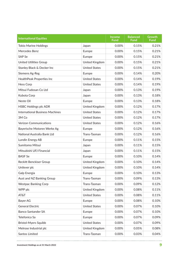| <b>International Equities</b>          |                       | <b>Income</b><br><b>Fund</b> | <b>Balanced</b><br><b>Fund</b> | <b>Growth</b><br><b>Fund</b> |
|----------------------------------------|-----------------------|------------------------------|--------------------------------|------------------------------|
| <b>Tokio Marine Holdings</b>           | Japan                 | 0.00%                        | 0.15%                          | 0.21%                        |
| Mercedes Benz                          | Europe                | 0.00%                        | 0.15%                          | 0.21%                        |
| <b>SAP Se</b>                          | Europe                | 0.00%                        | 0.15%                          | 0.21%                        |
| <b>United Utilities Group</b>          | <b>United Kingdom</b> | 0.00%                        | 0.15%                          | 0.21%                        |
| Stanley Black & Decker Inc             | <b>United States</b>  | 0.00%                        | 0.15%                          | 0.21%                        |
| Siemens Ag-Reg                         | Europe                | 0.00%                        | 0.14%                          | 0.20%                        |
| HealthPeak Properties Inc              | <b>United States</b>  | 0.00%                        | 0.14%                          | 0.19%                        |
| <b>Hess Corp</b>                       | <b>United States</b>  | 0.00%                        | 0.14%                          | 0.19%                        |
| Mitsui Fudosan Co Ltd                  | Japan                 | 0.00%                        | 0.13%                          | 0.19%                        |
| Kubota Corp                            | Japan                 | 0.00%                        | 0.13%                          | 0.18%                        |
| Neste Oil                              | Europe                | 0.00%                        | 0.13%                          | 0.18%                        |
| <b>HSBC Holdings plc ADR</b>           | United Kingdom        | 0.00%                        | 0.12%                          | 0.17%                        |
| <b>International Business Machines</b> | <b>United States</b>  | 0.00%                        | 0.12%                          | 0.17%                        |
| 3M Co                                  | <b>United States</b>  | 0.00%                        | 0.12%                          | 0.17%                        |
| <b>Verizon Communications</b>          | <b>United States</b>  | 0.00%                        | 0.12%                          | 0.16%                        |
| Bayerische Motoren Werke Ag            | Europe                | 0.00%                        | 0.12%                          | 0.16%                        |
| National Australia Bank Ltd            | Trans-Tasman          | 0.00%                        | 0.12%                          | 0.16%                        |
| Lundin Energy AB                       | Europe                | 0.00%                        | 0.11%                          | 0.15%                        |
| Sumitomo Mitsui                        | Japan                 | 0.00%                        | 0.11%                          | 0.15%                        |
| Mitsubishi UFJ Financial               | Japan                 | 0.00%                        | 0.11%                          | 0.15%                        |
| <b>BASF Se</b>                         | Europe                | 0.00%                        | 0.10%                          | 0.14%                        |
| <b>Reckitt Benckiser Group</b>         | United Kingdom        | 0.00%                        | 0.10%                          | 0.14%                        |
| Unilever plc                           | United Kingdom        | 0.00%                        | 0.10%                          | 0.14%                        |
| Galp Energia                           | Europe                | 0.00%                        | 0.10%                          | 0.13%                        |
| Aust and NZ Banking Group              | Trans-Tasman          | 0.00%                        | 0.09%                          | 0.13%                        |
| <b>Westpac Banking Corp</b>            | Trans-Tasman          | 0.00%                        | 0.09%                          | 0.12%                        |
| WPP plc                                | United Kingdom        | 0.00%                        | 0.08%                          | 0.11%                        |
| AT&T                                   | <b>United States</b>  | 0.00%                        | 0.08%                          | 0.11%                        |
| Bayer AG                               | Europe                | 0.00%                        | 0.08%                          | 0.10%                        |
| <b>General Electric</b>                | <b>United States</b>  | 0.00%                        | 0.07%                          | 0.10%                        |
| <b>Banco Santander SA</b>              | Europe                | 0.00%                        | 0.07%                          | 0.10%                        |
| Telefonica Sa                          | Europe                | 0.00%                        | 0.07%                          | 0.09%                        |
| <b>Bristol-Myers Squibb</b>            | <b>United States</b>  | 0.00%                        | 0.07%                          | 0.09%                        |
| Melrose Industrial plc                 | United Kingdom        | 0.00%                        | 0.05%                          | 0.08%                        |
| Santos Limited                         | Trans-Tasman          | 0.00%                        | 0.03%                          | 0.04%                        |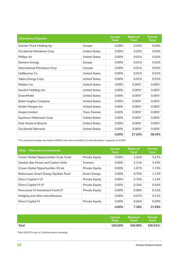| <b>International Equities</b> |                      | <b>Income</b><br><b>Fund</b> | <b>Balanced</b><br><b>Fund</b> | <b>Growth</b><br><b>Fund</b> |
|-------------------------------|----------------------|------------------------------|--------------------------------|------------------------------|
| Daimler Truck Holding Ag      | Europe               | 0.00%                        | 0.03%                          | 0.04%                        |
| Occidental Petroleum Corp     | <b>United States</b> | 0.00%                        | 0.02%                          | 0.03%                        |
| Phillips 66                   | <b>United States</b> | 0.00%                        | 0.01%                          | 0.02%                        |
| <b>Siemens Energy</b>         | Europe               | 0.00%                        | 0.01%                          | 0.02%                        |
| International Petroleum Corp  | Canada               | 0.00%                        | 0.01%                          | 0.01%                        |
| <b>Halliburton Co</b>         | <b>United States</b> | 0.00%                        | 0.01%                          | 0.01%                        |
| Valero Energy Corp            | <b>United States</b> | 0.00%                        | 0.01%                          | 0.01%                        |
| Wabtec Inc                    | <b>United States</b> | 0.00%                        | $0.00\%$ <sup>*</sup>          | $0.00\%$ *                   |
| Kyndryl Holdings Inc          | <b>United States</b> | 0.00%                        | $0.00\%$ <sup>*</sup>          | $0.00\%$ *                   |
| <b>ExxonMobil</b>             | <b>United States</b> | 0.00%                        | $0.00\%$ <sup>*</sup>          | $0.00\%$ *                   |
| <b>Baker Hughes Company</b>   | <b>United States</b> | 0.00%                        | $0.00\%$ <sup>*</sup>          | $0.00\%$ *                   |
| Kinder Morgan Inc             | <b>United States</b> | 0.00%                        | $0.00\%$ <sup>*</sup>          | $0.00\%$ <sup>*</sup>        |
| <b>Ampol Limited</b>          | Trans-Tasman         | 0.00%                        | $0.00\%$ <sup>*</sup>          | $0.00\%$ *                   |
| Equitrans Midstream Corp      | <b>United States</b> | 0.00%                        | $0.00\%$ <sup>*</sup>          | $0.00\%$ *                   |
| Park Hotels & Resorts         | <b>United States</b> | 0.00%                        | $0.00\%$ <sup>*</sup>          | $0.00\%$ *                   |
| <b>Occidental Warrants</b>    | <b>United States</b> | 0.00%                        | $0.00\%$ <sup>*</sup>          | $0.00\%$ *                   |
|                               |                      | 0.00%                        | 27.65%                         | 38.45%                       |

\* The actual percentage was below 0.005% and, when rounded to 2 decimal places, it appears as 0.00%.

| <b>Other - Alternative Investments</b> |                     | <b>Income</b><br><b>Fund</b> | <b>Balanced</b><br><b>Fund</b> | <b>Growth</b><br>fund |
|----------------------------------------|---------------------|------------------------------|--------------------------------|-----------------------|
| Crown Global Opportunities VI plc Fund | Private Equity      | 0.00%                        | 2.26%                          | 3.67%                 |
| Hawkes Bay Forest and Carbon Units     | Forestry            | 0.00%                        | 2.11%                          | 3.43%                 |
| Crown Global Opportunities VII plc     | Private Equity      | 0.00%                        | 1.07%                          | 1.74%                 |
| Robecosam Smart Energy Equities Fund   | <b>Smart Energy</b> | 0.00%                        | 0.70%                          | 1.13%                 |
| Direct Capital V LP                    | Private Equity      | 0.00%                        | 0.70%                          | 1.13%                 |
| <b>Direct Capital VI LP</b>            | Private Equity      | 0.00%                        | 0.34%                          | 0.56%                 |
| Pencarrow IV Investment Fund LP        | Private Equity      | 0.00%                        | 0.08%                          | 0.13%                 |
| Hedging and other miscellaneous        |                     | 0.00%                        | 0.07%                          | 0.11%                 |
| <b>Direct Capital IV</b>               | Private Equity      | 0.00%                        | 0.06%                          | 0.09%                 |
|                                        |                     | 0.00%                        | 7.38%                          | 11.98%                |

|       | <b>Income</b> | <b>Balanced</b> | <b>Growth</b>     |
|-------|---------------|-----------------|-------------------|
|       | <b>Fund</b>   | Fund            | Fund <sup>'</sup> |
| Total | 100.00%       | 100.00%         | 100.01%           |

†Total 100.01% due to 2 decimal place rounding.